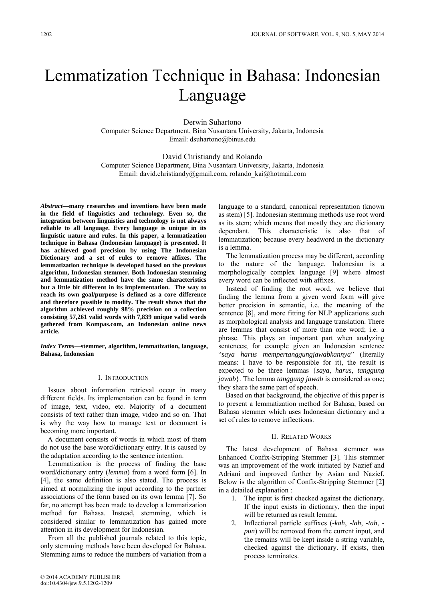# Lemmatization Technique in Bahasa: Indonesian Language

Derwin Suhartono Computer Science Department, Bina Nusantara University, Jakarta, Indonesia Email: dsuhartono@binus.edu

David Christiandy and Rolando Computer Science Department, Bina Nusantara University, Jakarta, Indonesia Email: david.christiandy@gmail.com, rolando\_kai@hotmail.com

*Abstract***—many researches and inventions have been made in the field of linguistics and technology. Even so, the integration between linguistics and technology is not always reliable to all language. Every language is unique in its linguistic nature and rules. In this paper, a lemmatization technique in Bahasa (Indonesian language) is presented. It has achieved good precision by using The Indonesian Dictionary and a set of rules to remove affixes. The lemmatization technique is developed based on the previous algorithm, Indonesian stemmer. Both Indonesian stemming and lemmatization method have the same characteristics but a little bit different in its implementation. The way to reach its own goal/purpose is defined as a core difference and therefore possible to modify. The result shows that the algorithm achieved roughly 98% precision on a collection consisting 57,261 valid words with 7,839 unique valid words gathered from Kompas.com, an Indonesian online news article.**

*Index Terms***—stemmer, algorithm, lemmatization, language, Bahasa, Indonesian** 

#### I. INTRODUCTION

Issues about information retrieval occur in many different fields. Its implementation can be found in term of image, text, video, etc. Majority of a document consists of text rather than image, video and so on. That is why the way how to manage text or document is becoming more important.

A document consists of words in which most of them do not use the base word/dictionary entry. It is caused by the adaptation according to the sentence intention.

Lemmatization is the process of finding the base word/dictionary entry (*lemma*) from a word form [6]. In [4], the same definition is also stated. The process is aimed at normalizing the input according to the partner associations of the form based on its own lemma [7]. So far, no attempt has been made to develop a lemmatization method for Bahasa. Instead, stemming, which is considered similar to lemmatization has gained more attention in its development for Indonesian.

From all the published journals related to this topic, only stemming methods have been developed for Bahasa. Stemming aims to reduce the numbers of variation from a

as its stem; which means that mostly they are dictionary dependant. This characteristic is also that of lemmatization; because every headword in the dictionary is a lemma. The lemmatization process may be different, according to the nature of the language. Indonesian is a morphologically complex language [9] where almost every word can be inflected with affixes.

language to a standard, canonical representation (known as stem) [5]. Indonesian stemming methods use root word

Instead of finding the root word, we believe that finding the lemma from a given word form will give better precision in semantic, i.e. the meaning of the sentence [8], and more fitting for NLP applications such as morphological analysis and language translation. There are lemmas that consist of more than one word; i.e. a phrase. This plays an important part when analyzing sentences; for example given an Indonesian sentence "*saya harus mempertanggungjawabkannya*" (literally means: I have to be responsible for it), the result is expected to be three lemmas {*saya*, *harus*, *tanggung jawab*}. The lemma *tanggung jawab* is considered as one; they share the same part of speech.

Based on that background, the objective of this paper is to present a lemmatization method for Bahasa, based on Bahasa stemmer which uses Indonesian dictionary and a set of rules to remove inflections.

### II. RELATED WORKS

The latest development of Bahasa stemmer was Enhanced Confix-Stripping Stemmer [3]. This stemmer was an improvement of the work initiated by Nazief and Adriani and improved further by Asian and Nazief. Below is the algorithm of Confix-Stripping Stemmer [2] in a detailed explanation :

- 1. The input is first checked against the dictionary. If the input exists in dictionary, then the input will be returned as result lemma.
- 2. Inflectional particle suffixes (*-kah*, *-lah*, *-tah*,  *pun*) will be removed from the current input, and the remains will be kept inside a string variable, checked against the dictionary. If exists, then process terminates.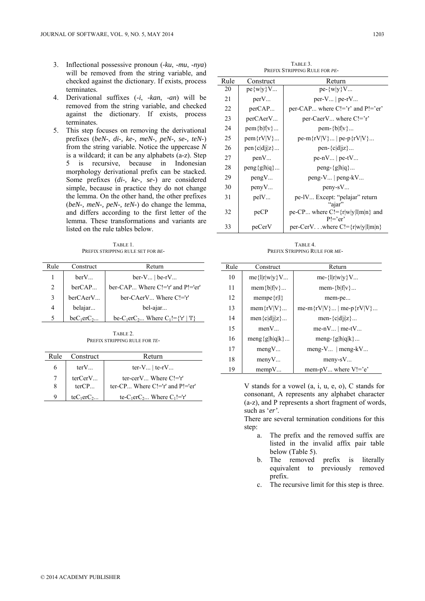- 3. Inflectional possessive pronoun (*-ku*, *-mu*, *-nya*) will be removed from the string variable, and checked against the dictionary. If exists, process terminates.
- 4. Derivational suffixes (*-i*, *-kan*, *-an*) will be removed from the string variable, and checked against the dictionary. If exists, process terminates.
- 5. This step focuses on removing the derivational prefixes (*beN-*, *di-, ke-, meN-, peN-, se-, teN-*) from the string variable. Notice the uppercase *N* is a wildcard; it can be any alphabets (a-z). Step 5 is recursive, because in Indonesian morphology derivational prefix can be stacked. Some prefixes (*di-, ke-, se-*) are considered simple, because in practice they do not change the lemma. On the other hand, the other prefixes (*beN-, meN-, peN-, teN-*) do change the lemma, and differs according to the first letter of the lemma. These transformations and variants are listed on the rule tables below.

TABLE 1. PREFIX STRIPPING RULE SET FOR *BE-*

| Rule | Construct    | Return                                                                |  |  |  |
|------|--------------|-----------------------------------------------------------------------|--|--|--|
|      | berV         | $ber-V$   $be-rV$                                                     |  |  |  |
| 2    | berCAP       | ber-CAP Where $C!=r'$ and $P!=er'$                                    |  |  |  |
| 3    | berCAerV     | ber-CAerV Where C!='r'                                                |  |  |  |
| 4    | belajar      | bel-ajar                                                              |  |  |  |
| 5    | $beC_1erC_2$ | be-C <sub>1</sub> erC <sub>2</sub> Where C <sub>1</sub> !={'r'   'l'} |  |  |  |

TABLE 2. PREFIX STRIPPING RULE FOR *TE-*

| Rule | Construct    | Return                                                        |  |  |
|------|--------------|---------------------------------------------------------------|--|--|
| 6    | $terV_{}$    | ter- $V_{}$   te-r $V_{}$                                     |  |  |
| 7    | terCerV      | ter-cer $V_{\cdots}$ Where $Cl = r'$                          |  |  |
| 8    | terCP        | ter-CP Where $C!=$ 'r' and $P!=$ 'er'                         |  |  |
| q    | $teC_1erC_2$ | te-C <sub>1</sub> erC <sub>2</sub> Where C <sub>1</sub> !='r' |  |  |

TABLE 3. PREFIX STRIPPING RULE FOR *PE-*

| Rule | Construct      | Return                                                         |  |  |
|------|----------------|----------------------------------------------------------------|--|--|
| 20   | $pe\{w v\}V$   | $pe-\{w y\}V$                                                  |  |  |
| 21   | perV           | $per-V$   $pe-rV$                                              |  |  |
| 22   | perCAP         | per-CAP where $C!=r'$ and $P!=er'$                             |  |  |
| 23   | perCAerV       | per-CaerV where $C!=r'$                                        |  |  |
| 24   | $pem{b f v}$   | $pem-\{b f v\}$                                                |  |  |
| 25   | $pem{Y V}$     | $pe-m{f}rV V$   $pe-p{f}rV V$                                  |  |  |
| 26   | $pen{c d j z}$ | $pen-\lbrace c d i\rangle \dots$                               |  |  |
| 27   | penV           | $pe-nV$   $pe-tV$                                              |  |  |
| 28   | $peng{g h q}$  | $peng - \{g h q\}$                                             |  |  |
| 29   | pengV          | $peng-V$   $peng-kV$                                           |  |  |
| 30   | penyV          | $peny-SV$                                                      |  |  |
| 31   | pelV           | pe-IV Except: "pelajar" return                                 |  |  |
| 32   | peCP           | "aiar"<br>pe-CP where C!= $\{r w y l m n\}$ and<br>$Pl = 'er'$ |  |  |
| 33   | peCerV         | per-CerVwhere $C = \{r w y 1 m n\}$                            |  |  |

TABLE 4. PREFIX STRIPPING RULE FOR *ME-*

| Rule | Construct        | Return                    |  |  |
|------|------------------|---------------------------|--|--|
| 10   | $me\{ r w y\}V$  | me- $\{  r w y\}V$        |  |  |
| 11   | mem ${b f v}$    | mem- $\{b f v\}$          |  |  |
| 12   | mempe $\{r l\}$  | mem-pe                    |  |  |
| 13   | mem $\{rV V\}$   | me-m{rV V}   me-p{rV V}   |  |  |
| 14   | $men{c d j z}$   | men- ${c d i z}$          |  |  |
| 15   | menV             | me-n $V_{}$   me-t $V_{}$ |  |  |
| 16   | meng ${g h q k}$ | meng- $\{g h q k\}$       |  |  |
| 17   | mengV            | meng- $V$   meng- $kV$    |  |  |
| 18   | menyV            | $meny-sV$                 |  |  |
| 19   | mempV            | mem-pV where $V!=$ 'e'    |  |  |

V stands for a vowel (a, i, u, e, o), C stands for consonant, A represents any alphabet character (a-z), and P represents a short fragment of words, such as '*er'*.

There are several termination conditions for this step:

- a. The prefix and the removed suffix are listed in the invalid affix pair table below (Table 5).
- b. The removed prefix is literally equivalent to previously removed prefix.
- c. The recursive limit for this step is three.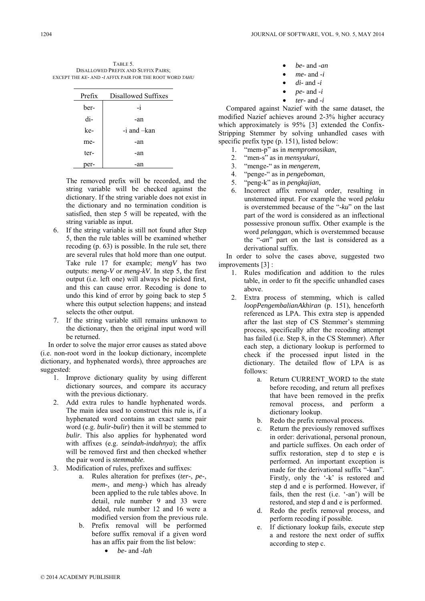TABLE 5. DISALLOWED PREFIX AND SUFFIX PAIRS; EXCEPT THE *KE-* AND *-I* AFFIX PAIR FOR THE ROOT WORD *TAHU*

| Prefix | Disallowed Suffixes |  |  |
|--------|---------------------|--|--|
| ber-   | -i                  |  |  |
| di-    | -an                 |  |  |
| ke-    | $-i$ and $-$ kan    |  |  |
| me-    | -an                 |  |  |
| ter-   | -an                 |  |  |
|        | -an                 |  |  |

The removed prefix will be recorded, and the string variable will be checked against the dictionary. If the string variable does not exist in the dictionary and no termination condition is satisfied, then step 5 will be repeated, with the string variable as input.

- 6. If the string variable is still not found after Step 5, then the rule tables will be examined whether recoding (p. 63) is possible. In the rule set, there are several rules that hold more than one output. Take rule 17 for example; *mengV* has two outputs: *meng-V* or *meng-kV*. In step 5, the first output (i.e. left one) will always be picked first, and this can cause error. Recoding is done to undo this kind of error by going back to step 5 where this output selection happens; and instead selects the other output.
- 7. If the string variable still remains unknown to the dictionary, then the original input word will be returned.

In order to solve the major error causes as stated above (i.e. non-root word in the lookup dictionary, incomplete dictionary, and hyphenated words), three approaches are suggested:

- 1. Improve dictionary quality by using different dictionary sources, and compare its accuracy with the previous dictionary.
- 2. Add extra rules to handle hyphenated words. The main idea used to construct this rule is, if a hyphenated word contains an exact same pair word (e.g. *bulir-bulir*) then it will be stemmed to *bulir*. This also applies for hyphenated word with affixes (e.g. *seindah-indahnya*); the affix will be removed first and then checked whether the pair word is *stemmable*.
- 3. Modification of rules, prefixes and suffixes:
	- a. Rules alteration for prefixes (*ter-*, *pe-*, *mem-*, and *meng-*) which has already been applied to the rule tables above. In detail, rule number 9 and 33 were added, rule number 12 and 16 were a modified version from the previous rule.
	- b. Prefix removal will be performed before suffix removal if a given word has an affix pair from the list below:
		- *be-* and *-lah*

| $\bullet$ | $be$ - and - $an$    |
|-----------|----------------------|
|           | <i>me</i> - and $-i$ |
|           | $di$ - and -i        |

- *pe-* and *-i*
- *ter-* and *-i*

Compared against Nazief with the same dataset, the modified Nazief achieves around 2-3% higher accuracy which approximately is 95% [3] extended the Confix-Stripping Stemmer by solving unhandled cases with specific prefix type (p. 151), listed below:

- 1. "mem-p" as in *mempromosikan*,
- 2. "men-s" as in *mensyukuri*,
- 3. "menge-" as in *mengerem*,
- 4. "penge-" as in *pengeboman*,
- 5. "peng-k" as in *pengkajian*,
- 6. Incorrect affix removal order, resulting in unstemmed input. For example the word *pelaku* is overstemmed because of the "*-ku*" on the last part of the word is considered as an inflectional possessive pronoun suffix. Other example is the word *pelanggan*, which is overstemmed because the "*-an*" part on the last is considered as a derivational suffix.

In order to solve the cases above, suggested two improvements [3] :

- 1. Rules modification and addition to the rules table, in order to fit the specific unhandled cases above.
- 2. Extra process of stemming, which is called *loopPengembalianAkhiran* (p. 151), henceforth referenced as LPA. This extra step is appended after the last step of CS Stemmer's stemming process, specifically after the recoding attempt has failed (i.e. Step 8, in the CS Stemmer). After each step, a dictionary lookup is performed to check if the processed input listed in the dictionary. The detailed flow of LPA is as follows:
	- a. Return CURRENT WORD to the state before recoding, and return all prefixes that have been removed in the prefix removal process, and perform a dictionary lookup.
	- b. Redo the prefix removal process.
	- c. Return the previously removed suffixes in order: derivational, personal pronoun, and particle suffixes. On each order of suffix restoration, step d to step e is performed. An important exception is made for the derivational suffix "-kan". Firstly, only the '-k' is restored and step d and e is performed. However, if fails, then the rest (i.e. '-an') will be restored, and step d and e is performed.
	- d. Redo the prefix removal process, and perform recoding if possible.
	- e. If dictionary lookup fails, execute step a and restore the next order of suffix according to step c.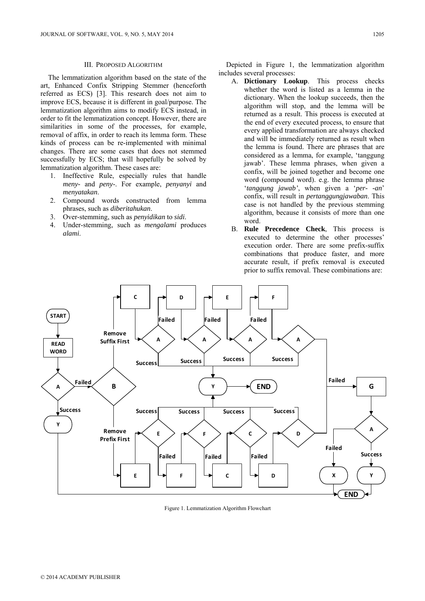#### III. PROPOSED ALGORITHM

The lemmatization algorithm based on the state of the art, Enhanced Confix Stripping Stemmer (henceforth referred as ECS) [3]. This research does not aim to improve ECS, because it is different in goal/purpose. The lemmatization algorithm aims to modify ECS instead, in order to fit the lemmatization concept. However, there are similarities in some of the processes, for example, removal of affix, in order to reach its lemma form. These kinds of process can be re-implemented with minimal changes. There are some cases that does not stemmed successfully by ECS; that will hopefully be solved by lemmatization algorithm. These cases are:

- 1. Ineffective Rule, especially rules that handle *meny-* and *peny-*. For example, *penyanyi* and *menyatakan*.
- 2. Compound words constructed from lemma phrases, such as *diberitahukan*.
- 3. Over-stemming, such as *penyidikan* to *sidi*.
- 4. Under-stemming, such as *mengalami* produces *alami*.

Depicted in Figure 1, the lemmatization algorithm includes several processes:

- A. **Dictionary Lookup**. This process checks whether the word is listed as a lemma in the dictionary. When the lookup succeeds, then the algorithm will stop, and the lemma will be returned as a result. This process is executed at the end of every executed process, to ensure that every applied transformation are always checked and will be immediately returned as result when the lemma is found. There are phrases that are considered as a lemma, for example, 'tanggung jawab'. These lemma phrases, when given a confix, will be joined together and become one word (compound word). e.g. the lemma phrase '*tanggung jawab'*, when given a '*per- -an*' confix, will result in *pertanggungjawaban*. This case is not handled by the previous stemming algorithm, because it consists of more than one word.
- B. **Rule Precedence Check**, This process is executed to determine the other processes' execution order. There are some prefix-suffix combinations that produce faster, and more accurate result, if prefix removal is executed prior to suffix removal. These combinations are:



Figure 1. Lemmatization Algorithm Flowchart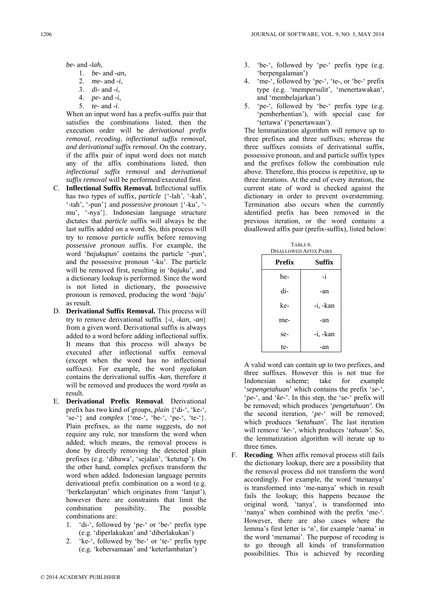*be-* and *-lah*,

- 1. *be-* and *-an*,
- 2. *me-* and *-i*,
- 3. *di-* and *-i*,
- 4. *pe-* and *-i*,
- 5. *te-* and *-i*.

When an input word has a prefix-suffix pair that satisfies the combinations listed, then the execution order will be *derivational prefix removal*, *recoding*, *inflectional suffix removal*, *and derivational suffix removal*. On the contrary, if the affix pair of input word does not match any of the affix combinations listed, then *inflectional suffix removal* and *derivational suffix removal* will be performed/executed first.

- C. **Inflectional Suffix Removal.** Inflectional suffix has two types of suffix, *particle* {'-lah', '-kah', '-tah', '-pun'} and *possessive pronoun* {'-ku', ' mu', '-nya'}. Indonesian language structure dictates that *particle* suffix will always be the last suffix added on a word. So, this process will try to remove *particle* suffix before removing *possessive pronoun* suffix. For example, the word '*bajukupun*' contains the particle '-pun', and the possessive pronoun '-ku'. The particle will be removed first, resulting in '*bajuku*', and a dictionary lookup is performed. Since the word is not listed in dictionary, the possessive pronoun is removed, producing the word '*baju*' as result.
- D. **Derivational Suffix Removal.** This process will try to remove derivational suffix {*-i, -kan, -an*} from a given word. Derivational suffix is always added to a word before adding inflectional suffix. It means that this process will always be executed after inflectional suffix removal (except when the word has no inflectional suffixes). For example, the word *nyalakan* contains the derivational suffix -*kan*, therefore it will be removed and produces the word *nyala* as result.
- E. **Derivational Prefix Removal**. Derivational prefix has two kind of groups, *plain* {'di-', 'ke-',  $\{$  se-' $\}$  and *complex*  $\{$  me-', 'be-', 'pe-', 'te-' $\}$ . Plain prefixes, as the name suggests, do not require any rule, nor transform the word when added; which means, the removal process is done by directly removing the detected plain prefixes (e.g. 'dibawa', 'sejalan', 'ketutup'). On the other hand, complex prefixes transform the word when added. Indonesian language permits derivational prefix combination on a word (e.g. 'berkelanjutan' which originates from 'lanjut'), however there are constraints that limit the combination possibility. The possible combinations are:
	- 1. 'di-', followed by 'pe-' or 'be-' prefix type (e.g. 'diperlakukan' and 'diberlakukan')
	- 2. 'ke-', followed by 'be-' or 'te-' prefix type (e.g. 'kebersamaan' and 'keterlambatan')
- 3. 'be-', followed by 'pe-' prefix type (e.g. 'berpengalaman')
- 4. 'me-', followed by 'pe-', 'te-, or 'be-' prefix type (e.g. 'mempersulit', 'menertawakan', and 'membelajarkan')
- 5. 'pe-', followed by 'be-' prefix type (e.g. 'pemberhentian'), with special case for 'tertawa' ('penertawaan').

The lemmatization algorithm will remove up to three prefixes and three suffixes; whereas the three suffixes consists of derivational suffix, possessive pronoun, and and particle suffix types and the prefixes follow the combination rule above. Therefore, this process is repetitive, up to three iterations. At the end of every iteration, the current state of word is checked against the dictionary in order to prevent overstemming. Termination also occurs when the currently identified prefix has been removed in the previous iteration, or the word contains a disallowed affix pair (prefix-suffix), listed below:

| TABLE 6.<br><b>DISALLOWED AFFIX PAIRS</b> |             |  |  |  |
|-------------------------------------------|-------------|--|--|--|
| <b>Prefix</b>                             | Suffix      |  |  |  |
| be-                                       | -i          |  |  |  |
| di-                                       | -an         |  |  |  |
| ke-                                       | $-i$ , -kan |  |  |  |
| me-                                       | -an         |  |  |  |
| se-                                       | $-i$ , -kan |  |  |  |
| te-                                       | -an         |  |  |  |

A valid word can contain up to two prefixes, and three suffixes. However this is not true for Indonesian scheme; take for example '*sepengetahuan*' which contains the prefix '*se-*', '*pe-*', and '*ke-*'. In this step, the '*se*-' prefix will be removed; which produces '*pengetahuan'*. On the second iteration, '*pe*-' will be removed; which produces '*ketahuan*'. The last iteration will remove '*ke*-', which produces '*tahuan'*. So, the lemmatization algorithm will iterate up to three times.

F. **Recoding**. When affix removal process still fails the dictionary lookup, there are a possibility that the removal process did not transform the word accordingly. For example, the word 'menanya' is transformed into 'me-nanya' which in result fails the lookup; this happens because the original word, 'tanya', is transformed into 'nanya' when combined with the prefix 'me-'. However, there are also cases where the lemma's first letter is 'n', for example 'nama' in the word 'menamai'. The purpose of recoding is to go through all kinds of transformation possibilities. This is achieved by recording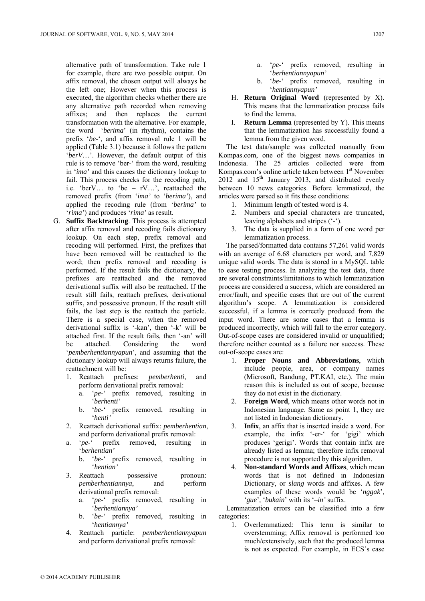alternative path of transformation. Take rule 1 for example, there are two possible output. On affix removal, the chosen output will always be the left one; However when this process is executed, the algorithm checks whether there are any alternative path recorded when removing affixes; and then replaces the current transformation with the alternative. For example, the word '*berima*' (in rhythm), contains the prefix '*be*-', and affix removal rule 1 will be applied (Table 3.1) because it follows the pattern '*berV*…'. However, the default output of this rule is to remove 'ber-' from the word, resulting in '*ima'* and this causes the dictionary lookup to fail. This process checks for the recoding path, i.e. 'berV… to 'be – rV…', reattached the removed prefix (from '*ima'* to '*berima'*), and applied the recoding rule (from '*berima'* to '*rima'*) and produces '*rima'* as result.

- G. **Suffix Backtracking**. This process is attempted after affix removal and recoding fails dictionary lookup. On each step, prefix removal and recoding will performed. First, the prefixes that have been removed will be reattached to the word; then prefix removal and recoding is performed. If the result fails the dictionary, the prefixes are reattached and the removed derivational suffix will also be reattached. If the result still fails, reattach prefixes, derivational suffix, and possessive pronoun. If the result still fails, the last step is the reattach the particle. There is a special case, when the removed derivational suffix is '-kan', then '-k' will be attached first. If the result fails, then '-an' will be attached. Considering the word '*pemberhentiannyapun*', and assuming that the dictionary lookup will always returns failure, the reattachment will be:
	- 1. Reattach prefixes: *pemberhenti*, and perform derivational prefix removal:
		- a. '*pe*-' prefix removed, resulting in '*berhenti'*
		- b. '*be*-' prefix removed, resulting in '*henti'*
	- 2. Reattach derivational suffix: *pemberhentian*, and perform derivational prefix removal:
	- a. '*pe*-' prefix removed, resulting in '*berhentian'*
		- b. '*be*-' prefix removed, resulting in '*hentian'*
	- 3. Reattach possessive pronoun: *pemberhentiannya*, and perform derivational prefix removal:
		- a. '*pe*-' prefix removed, resulting in '*berhentiannya'*
		- b. '*be*-' prefix removed, resulting in '*hentiannya'*
	- 4. Reattach particle: *pemberhentiannyapun* and perform derivational prefix removal:
- b. '*be*-' prefix removed, resulting in '*hentiannyapun'*
- H. **Return Original Word** (represented by X). This means that the lemmatization process fails to find the lemma.
- **Return Lemma** (represented by Y). This means that the lemmatization has successfully found a lemma from the given word.

The test data/sample was collected manually from Kompas.com, one of the biggest news companies in Indonesia. The 25 articles collected were from Kompas.com's online article taken between 1<sup>st</sup> November  $2012$  and  $15<sup>th</sup>$  January 2013, and distributed evenly between 10 news categories. Before lemmatized, the articles were parsed so it fits these conditions:

- 1. Minimum length of tested word is 4.
- 2. Numbers and special characters are truncated, leaving alphabets and stripes ('-').
- 3. The data is supplied in a form of one word per lemmatization process.

The parsed/formatted data contains 57,261 valid words with an average of 6.68 characters per word, and 7,829 unique valid words. The data is stored in a MySQL table to ease testing process. In analyzing the test data, there are several constraints/limitations to which lemmatization process are considered a success, which are considered an error/fault, and specific cases that are out of the current algorithm's scope. A lemmatization is considered successful, if a lemma is correctly produced from the input word. There are some cases that a lemma is produced incorrectly, which will fall to the error category. Out-of-scope cases are considered invalid or unqualified; therefore neither counted as a failure nor success. These out-of-scope cases are:

- 1. **Proper Nouns and Abbreviations**, which include people, area, or company names (Microsoft, Bandung, PT.KAI, etc.). The main reason this is included as out of scope, because they do not exist in the dictionary.
- 2. **Foreign Word**, which means other words not in Indonesian language. Same as point 1, they are not listed in Indonesian dictionary.
- 3. **Infix**, an affix that is inserted inside a word. For example, the infix '-er-' for 'gigi' which produces 'gerigi'. Words that contain infix are already listed as lemma; therefore infix removal procedure is not supported by this algorithm.
- 4. **Non-standard Words and Affixes**, which mean words that is not defined in Indonesian Dictionary, or *slang* words and affixes. A few examples of these words would be '*nggak*', '*gue*'*,* '*bukain*' with its '*–in'* suffix.

Lemmatization errors can be classified into a few categories:

1. Overlemmatized: This term is similar to overstemming; Affix removal is performed too much/extensively, such that the produced lemma is not as expected. For example, in ECS's case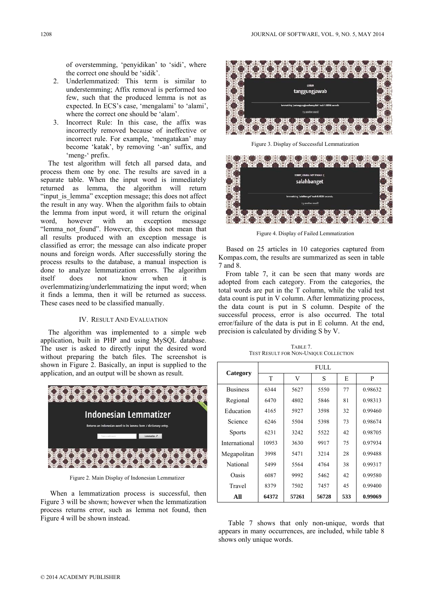of overstemming, 'penyidikan' to 'sidi', where the correct one should be 'sidik'.

- 2. Underlemmatized: This term is similar to understemming; Affix removal is performed too few, such that the produced lemma is not as expected. In ECS's case, 'mengalami' to 'alami', where the correct one should be 'alam'.
- 3. Incorrect Rule: In this case, the affix was incorrectly removed because of ineffective or incorrect rule. For example, 'mengatakan' may become 'katak', by removing '-an' suffix, and 'meng-' prefix.

The test algorithm will fetch all parsed data, and process them one by one. The results are saved in a separate table. When the input word is immediately returned as lemma, the algorithm will return "input is lemma" exception message; this does not affect the result in any way. When the algorithm fails to obtain the lemma from input word, it will return the original word, however with an exception message "lemma not found". However, this does not mean that all results produced with an exception message is classified as error; the message can also indicate proper nouns and foreign words. After successfully storing the process results to the database, a manual inspection is done to analyze lemmatization errors. The algorithm itself does not know when it is overlemmatizing/underlemmatizing the input word; when it finds a lemma, then it will be returned as success. These cases need to be classified manually.

#### IV. RESULT AND EVALUATION

The algorithm was implemented to a simple web application, built in PHP and using MySQL database. The user is asked to directly input the desired word without preparing the batch files. The screenshot is shown in Figure 2. Basically, an input is supplied to the application, and an output will be shown as result.



Figure 2. Main Display of Indonesian Lemmatizer

When a lemmatization process is successful, then Figure 3 will be shown; however when the lemmatization process returns error, such as lemma not found, then Figure 4 will be shown instead.



Figure 3. Display of Successful Lemmatization



Figure 4. Display of Failed Lemmatization

Based on 25 articles in 10 categories captured from Kompas.com, the results are summarized as seen in table 7 and 8.

From table 7, it can be seen that many words are adopted from each category. From the categories, the total words are put in the T column, while the valid test data count is put in V column. After lemmatizing process, the data count is put in S column. Despite of the successful process, error is also occurred. The total error/failure of the data is put in E column. At the end, precision is calculated by dividing S by V.

TABLE 7. TEST RESULT FOR NON-UNIQUE COLLECTION

|                 | FULL. |       |       |     |         |
|-----------------|-------|-------|-------|-----|---------|
| Category        | T     | V     | S     | E   | P       |
| <b>Business</b> | 6344  | 5627  | 5550  | 77  | 0.98632 |
| Regional        | 6470  | 4802  | 5846  | 81  | 0.98313 |
| Education       | 4165  | 5927  | 3598  | 32  | 0.99460 |
| Science         | 6246  | 5504  | 5398  | 73  | 0.98674 |
| <b>Sports</b>   | 6231  | 3242  | 5522  | 42  | 0.98705 |
| International   | 10953 | 3630  | 9917  | 75  | 0.97934 |
| Megapolitan     | 3998  | 5471  | 3214  | 28  | 0.99488 |
| National        | 5499  | 5564  | 4764  | 38  | 0.99317 |
| Oasis           | 6087  | 9992  | 5462  | 42  | 0.99580 |
| Travel          | 8379  | 7502  | 7457  | 45  | 0.99400 |
| All             | 64372 | 57261 | 56728 | 533 | 0.99069 |

Table 7 shows that only non-unique, words that appears in many occurrences, are included, while table 8 shows only unique words.